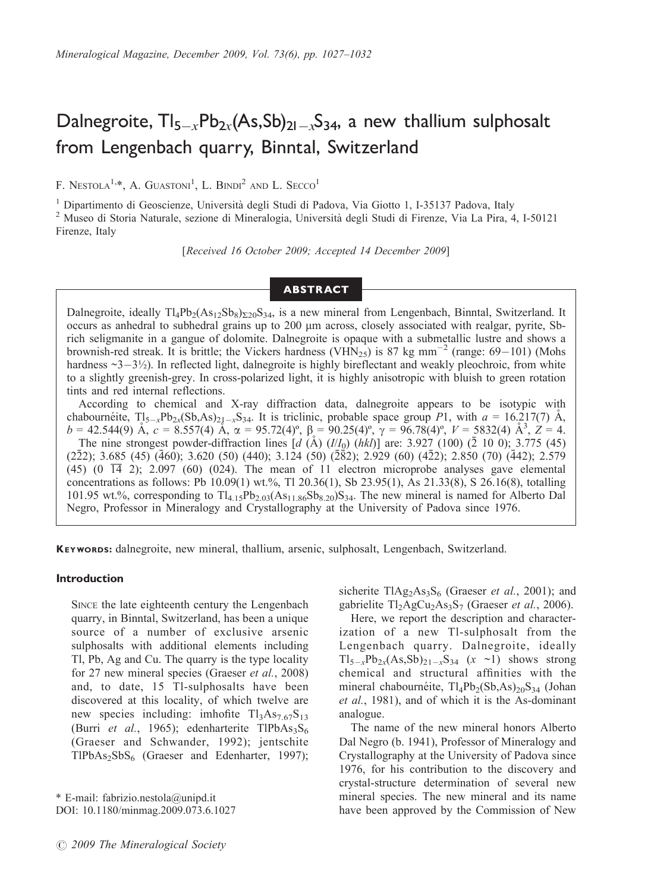# Dalnegroite,  $TI_{5-x}Pb_{2x}(As,Sb)_{21-x}S_{34}$ , a new thallium sulphosalt from Lengenbach quarry, Binntal, Switzerland

F. NESTOLA<sup>1,\*</sup>, A. GUASTONI<sup>1</sup>, L. BINDI<sup>2</sup> AND L. SECCO<sup>1</sup>

<sup>1</sup> Dipartimento di Geoscienze, Università degli Studi di Padova, Via Giotto 1, I-35137 Padova, Italy <sup>2</sup> Museo di Storia Naturale, sezione di Mineralogia, Università degli Studi di Firenze, Via La Pira, 4, I-50121 Firenze, Italy

[Received 16 October 2009; Accepted 14 December 2009]

## ABSTRACT

Dalnegroite, ideally  $Tl_4Pb_2(As_{12}Sb_8)_{\Sigma20}S_{34}$ , is a new mineral from Lengenbach, Binntal, Switzerland. It occurs as anhedral to subhedral grains up to 200 mm across, closely associated with realgar, pyrite, Sbrich seligmanite in a gangue of dolomite. Dalnegroite is opaque with a submetallic lustre and shows a brownish-red streak. It is brittle; the Vickers hardness (VHN<sub>25</sub>) is 87 kg mm<sup>-2</sup> (range: 69–101) (Mohs hardness  $\sim$ 3 $-3\frac{1}{2}$ ). In reflected light, dalnegroite is highly bireflectant and weakly pleochroic, from white to a slightly greenish-grey. In cross-polarized light, it is highly anisotropic with bluish to green rotation tints and red internal reflections.

According to chemical and X-ray diffraction data, dalnegroite appears to be isotypic with chabournetite,  $T_{5-x}P_{2x}(Sb,As)_{21-x}S_{34}$ . It is triclinic, probable space group P1, with  $a = 16.217(7)$  Å,  $b = 42.544(9)$   $\AA$ ,  $c = 8.557(4)$   $\AA$ ,  $\alpha = 95.72(4)$ °,  $\beta = 90.25(4)$ °,  $\gamma = 96.78(4)$ °,  $V = 5832(4)$   $\AA$ <sup>3</sup>,  $Z = 4$ . The nine strongest powder-diffraction lines  $\left[\frac{d}{\bf{A}}\right]$  ( $\frac{I}{I_0}$ ) ( $\frac{h}{I_0}$ ) ( $\frac{h}{I_0}$ ) ( $\frac{2}{\bf{A}}$ ) (100) ( $\frac{2}{\bf{A}}$ ) (100); 3.775 (45)  $(2\bar{2}2); 3.685 (45) (460); 3.620 (50) (440); 3.124 (50) (2\bar{8}2); 2.929 (60) (4\bar{2}2); 2.850 (70) (442); 2.579$  $(45)$   $(0, \overline{14}, 2)$ ; 2.097  $(60)$   $(024)$ . The mean of 11 electron microprobe analyses gave elemental concentrations as follows: Pb 10.09(1) wt.%, Tl 20.36(1), Sb 23.95(1), As 21.33(8), S 26.16(8), totalling 101.95 wt.%, corresponding to  $Tl_{4.15}Pb_{2.03}(As_{11.86}Sb_{8.20})S_{34}$ . The new mineral is named for Alberto Dal Negro, Professor in Mineralogy and Crystallography at the University of Padova since 1976.

KEYWORDS: dalnegroite, new mineral, thallium, arsenic, sulphosalt, Lengenbach, Switzerland.

#### Introduction

SINCE the late eighteenth century the Lengenbach quarry, in Binntal, Switzerland, has been a unique source of a number of exclusive arsenic sulphosalts with additional elements including Tl, Pb, Ag and Cu. The quarry is the type locality for 27 new mineral species (Graeser et al., 2008) and, to date, 15 Tl-sulphosalts have been discovered at this locality, of which twelve are new species including: imhofite  $Tl_3As_{7.67}S_{13}$ (Burri et al., 1965); edenharterite  $TIPbAs<sub>3</sub>S<sub>6</sub>$ (Graeser and Schwander, 1992); jentschite  $TIPbAs<sub>2</sub>SbS<sub>6</sub>$  (Graeser and Edenharter, 1997);

\* E-mail: fabrizio.nestola@unipd.it DOI: 10.1180/minmag.2009.073.6.1027

 $\odot$  2009 The Mineralogical Society

sicherite  $T[Ag_2As_3S_6$  (Graeser *et al.*, 2001); and gabrielite  $Tl_2AgCu_2As_3S_7$  (Graeser et al., 2006).

Here, we report the description and characterization of a new Tl-sulphosalt from the Lengenbach quarry. Dalnegroite, ideally  $Tl_{5-x}Pb_{2x}(As, Sb)_{21-x}S_{34}$   $(x \sim l)$  shows strong chemical and structural affinities with the mineral chabournéite,  $Tl_4Pb_2(Sb, As)_{20}S_{34}$  (Johan et al., 1981), and of which it is the As-dominant analogue.

The name of the new mineral honors Alberto Dal Negro (b. 1941), Professor of Mineralogy and Crystallography at the University of Padova since 1976, for his contribution to the discovery and crystal-structure determination of several new mineral species. The new mineral and its name have been approved by the Commission of New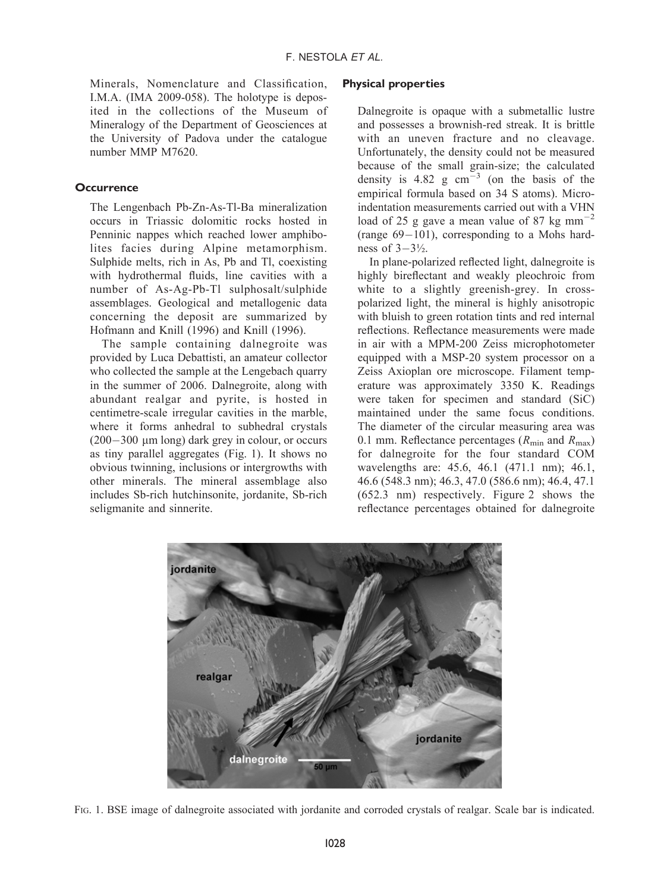Minerals, Nomenclature and Classification, I.M.A. (IMA 2009-058). The holotype is deposited in the collections of the Museum of Mineralogy of the Department of Geosciences at the University of Padova under the catalogue number MMP M7620.

### **Occurrence**

The Lengenbach Pb-Zn-As-Tl-Ba mineralization occurs in Triassic dolomitic rocks hosted in Penninic nappes which reached lower amphibolites facies during Alpine metamorphism. Sulphide melts, rich in As, Pb and Tl, coexisting with hydrothermal fluids, line cavities with a number of As-Ag-Pb-Tl sulphosalt/sulphide assemblages. Geological and metallogenic data concerning the deposit are summarized by Hofmann and Knill (1996) and Knill (1996).

The sample containing dalnegroite was provided by Luca Debattisti, an amateur collector who collected the sample at the Lengebach quarry in the summer of 2006. Dalnegroite, along with abundant realgar and pyrite, is hosted in centimetre-scale irregular cavities in the marble, where it forms anhedral to subhedral crystals  $(200-300 \mu m \log)$  dark grey in colour, or occurs as tiny parallel aggregates (Fig. 1). It shows no obvious twinning, inclusions or intergrowths with other minerals. The mineral assemblage also includes Sb-rich hutchinsonite, jordanite, Sb-rich seligmanite and sinnerite.

#### Physical properties

Dalnegroite is opaque with a submetallic lustre and possesses a brownish-red streak. It is brittle with an uneven fracture and no cleavage. Unfortunately, the density could not be measured because of the small grain-size; the calculated density is  $4.82 \text{ g cm}^{-3}$  (on the basis of the empirical formula based on 34 S atoms). Microindentation measurements carried out with a VHN load of 25 g gave a mean value of 87 kg mm<sup> $-2$ </sup> (range  $69-101$ ), corresponding to a Mohs hardness of  $3-3\frac{1}{2}$ .

In plane-polarized reflected light, dalnegroite is highly bireflectant and weakly pleochroic from white to a slightly greenish-grey. In crosspolarized light, the mineral is highly anisotropic with bluish to green rotation tints and red internal reflections. Reflectance measurements were made in air with a MPM-200 Zeiss microphotometer equipped with a MSP-20 system processor on a Zeiss Axioplan ore microscope. Filament temperature was approximately 3350 K. Readings were taken for specimen and standard (SiC) maintained under the same focus conditions. The diameter of the circular measuring area was 0.1 mm. Reflectance percentages ( $R_{\text{min}}$  and  $R_{\text{max}}$ ) for dalnegroite for the four standard COM wavelengths are: 45.6, 46.1 (471.1 nm); 46.1, 46.6 (548.3 nm); 46.3, 47.0 (586.6 nm); 46.4, 47.1 (652.3 nm) respectively. Figure 2 shows the reflectance percentages obtained for dalnegroite



FIG. 1. BSE image of dalnegroite associated with jordanite and corroded crystals of realgar. Scale bar is indicated.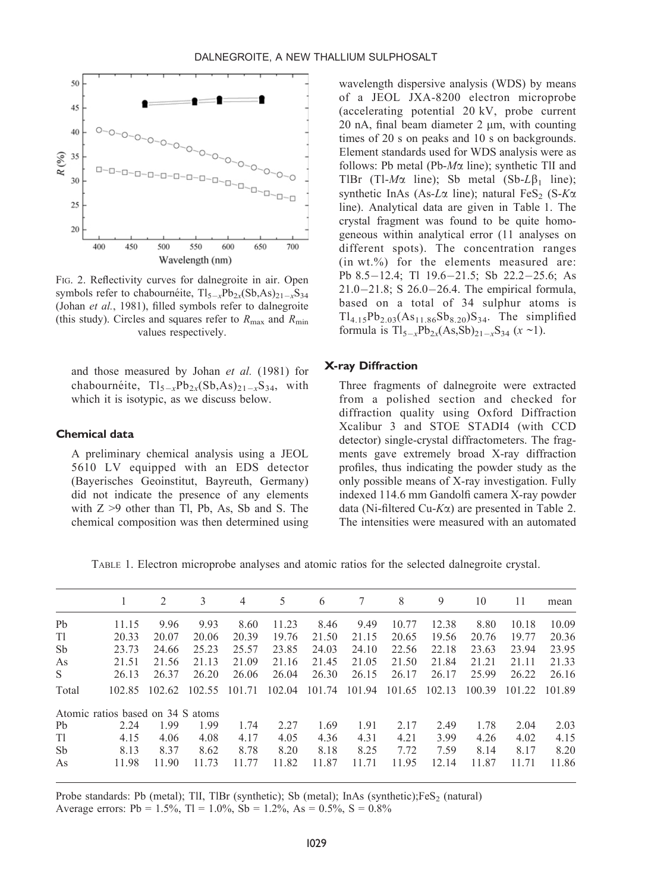

FIG. 2. Reflectivity curves for dalnegroite in air. Open symbols refer to chabournéite,  $Tl_{5-x}Pb_{2x}(Sb,As)_{21-x}S_{34}$ (Johan et al., 1981), filled symbols refer to dalnegroite (this study). Circles and squares refer to  $R_{\text{max}}$  and  $R_{\text{min}}$ values respectively.

and those measured by Johan et al. (1981) for chabournéite,  $Tl_{5-x}Pb_{2x}(Sb,As)_{21-x}S_{34}$ , with which it is isotypic, as we discuss below.

### Chemical data

A preliminary chemical analysis using a JEOL 5610 LV equipped with an EDS detector (Bayerisches Geoinstitut, Bayreuth, Germany) did not indicate the presence of any elements with Z >9 other than Tl, Pb, As, Sb and S. The chemical composition was then determined using wavelength dispersive analysis (WDS) by means of a JEOL JXA-8200 electron microprobe (accelerating potential 20 kV, probe current 20 nA, final beam diameter  $2 \mu m$ , with counting times of 20 s on peaks and 10 s on backgrounds. Element standards used for WDS analysis were as follows: Pb metal (Pb- $M\alpha$  line); synthetic TlI and TlBr (Tl- $M\alpha$  line); Sb metal (Sb- $L\beta_1$  line); synthetic InAs (As-L $\alpha$  line); natural FeS<sub>2</sub> (S-K $\alpha$ line). Analytical data are given in Table 1. The crystal fragment was found to be quite homogeneous within analytical error (11 analyses on different spots). The concentration ranges (in wt.%) for the elements measured are: Pb 8.5 $-12.4$ ; Tl 19.6 $-21.5$ ; Sb 22.2 $-25.6$ ; As  $21.0 - 21.8$ ; S  $26.0 - 26.4$ . The empirical formula, based on a total of 34 sulphur atoms is  $Tl_{4,15}Pb_{2,03}(As_{11.86}Sb_{8,20})S_{34}$ . The simplified formula is  $Tl_{5-x}Pb_{2x}(As, Sb)_{21-x}S_{34}$  (x ~1).

#### X-ray Diffraction

Three fragments of dalnegroite were extracted from a polished section and checked for diffraction quality using Oxford Diffraction Xcalibur 3 and STOE STADI4 (with CCD detector) single-crystal diffractometers. The fragments gave extremely broad X-ray diffraction profiles, thus indicating the powder study as the only possible means of X-ray investigation. Fully indexed 114.6 mm Gandolfi camera X-ray powder data (Ni-filtered Cu- $K\alpha$ ) are presented in Table 2. The intensities were measured with an automated

TABLE 1. Electron microprobe analyses and atomic ratios for the selected dalnegroite crystal.

|                |                                   | 2      | 3      | $\overline{4}$ | 5      | 6      | 7      | 8      | 9      | 10     | 11     | mean   |
|----------------|-----------------------------------|--------|--------|----------------|--------|--------|--------|--------|--------|--------|--------|--------|
| P <sub>b</sub> | 11.15                             | 9.96   | 9.93   | 8.60           | 11.23  | 8.46   | 9.49   | 10.77  | 12.38  | 8.80   | 10.18  | 10.09  |
| T1             | 20.33                             | 20.07  | 20.06  | 20.39          | 19.76  | 21.50  | 21.15  | 20.65  | 19.56  | 20.76  | 19.77  | 20.36  |
| Sb             | 23.73                             | 24.66  | 25.23  | 25.57          | 23.85  | 24.03  | 24.10  | 22.56  | 22.18  | 23.63  | 23.94  | 23.95  |
| As             | 21.51                             | 21.56  | 21.13  | 21.09          | 21.16  | 21.45  | 21.05  | 21.50  | 21.84  | 21.21  | 21.11  | 21.33  |
| S              | 26.13                             | 26.37  | 26.20  | 26.06          | 26.04  | 26.30  | 26.15  | 26.17  | 26.17  | 25.99  | 26.22  | 26.16  |
| Total          | 102.85                            | 102.62 | 102.55 | 101.71         | 102.04 | 101.74 | 101.94 | 101.65 | 102.13 | 100.39 | 101.22 | 101.89 |
|                | Atomic ratios based on 34 S atoms |        |        |                |        |        |        |        |        |        |        |        |
| Pb             | 2.24                              | 1.99   | 1.99   | 1.74           | 2.27   | 1.69   | 1.91   | 2.17   | 2.49   | 1.78   | 2.04   | 2.03   |
| T1             | 4.15                              | 4.06   | 4.08   | 4.17           | 4.05   | 4.36   | 4.31   | 4.21   | 3.99   | 4.26   | 4.02   | 4.15   |
| Sb             | 8.13                              | 8.37   | 8.62   | 8.78           | 8.20   | 8.18   | 8.25   | 7.72   | 7.59   | 8.14   | 8.17   | 8.20   |
| As             | 11.98                             | 11.90  | 11.73  | 11.77          | 11.82  | 11.87  | 11.71  | 11.95  | 12.14  | 11.87  | 11.71  | 11.86  |

Probe standards: Pb (metal); TlI, TlBr (synthetic); Sb (metal); InAs (synthetic);FeS<sub>2</sub> (natural) Average errors: Pb =  $1.5\%$ , Tl =  $1.0\%$ , Sb =  $1.2\%$ , As =  $0.5\%$ , S =  $0.8\%$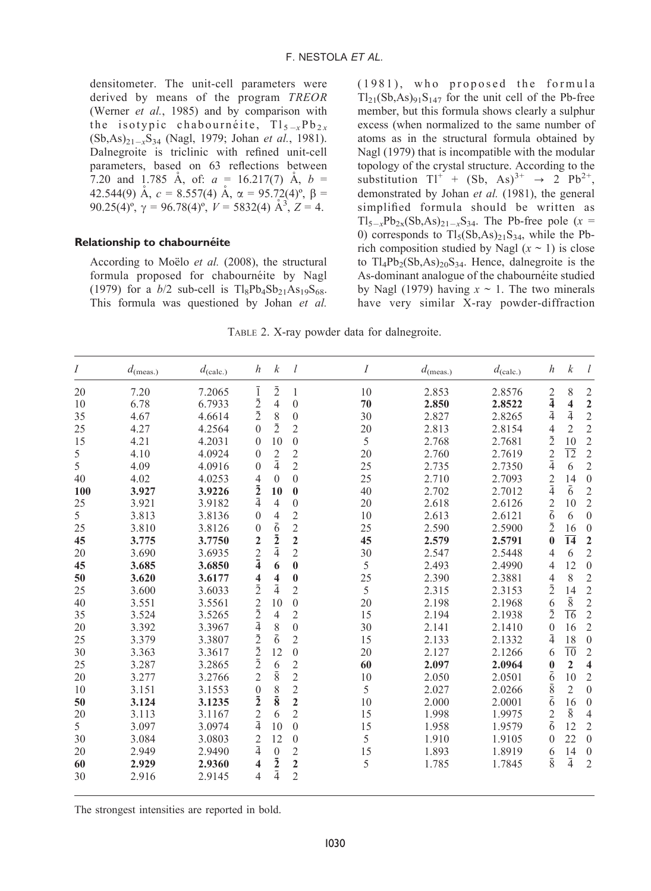densitometer. The unit-cell parameters were derived by means of the program TREOR (Werner et al., 1985) and by comparison with the isotypic chabournéite,  $Tl_{5-x}Pb_{2x}$  $(Sb, As)_{21-x}S_{34}$  (Nagl, 1979; Johan et al., 1981). Dalnegroite is triclinic with refined unit-cell parameters, based on 63 reflections between 7.20 and 1.785 A, of:  $a = 16.217(7)$  A,  $b =$ 42.544(9) Å,  $c = 8.557(4)$  Å,  $\alpha = 95.72(4)$ <sup>o</sup>,  $\beta =$ 90.25(4)<sup>o</sup>,  $\gamma = 96.78(4)$ <sup>o</sup>,  $V = 5832(4)$   $\mathring{A}^3$ ,  $Z = 4$ .

#### Relationship to chabournéite

According to Moëlo *et al.* (2008), the structural formula proposed for chabournéite by Nagl (1979) for a  $b/2$  sub-cell is  $TlgPb_4Sb_{21}As_{19}S_{68}$ . This formula was questioned by Johan et al.

(1981), who proposed the formula  $Tl_{21}(Sb, As)_{91}S_{147}$  for the unit cell of the Pb-free member, but this formula shows clearly a sulphur excess (when normalized to the same number of atoms as in the structural formula obtained by Nagl (1979) that is incompatible with the modular topology of the crystal structure. According to the substitution  $TI^+ + (Sb, As)^{3+} \rightarrow 2^{-} Pb^{2+}$ , demonstrated by Johan et al. (1981), the general simplified formula should be written as  $Tl_{5-x}Pb_{2x}(Sb,As)_{21-x}S_{34}$ . The Pb-free pole (x = 0) corresponds to  $TI_5(Sb, As)_{21}S_{34}$ , while the Pbrich composition studied by Nagl  $(x \sim 1)$  is close to  $Tl_4Pb_2(Sb, As)_{20}S_{34}$ . Hence, dalnegroite is the As-dominant analogue of the chabournéite studied by Nagl (1979) having  $x \sim 1$ . The two minerals have very similar X-ray powder-diffraction

TABLE 2. X-ray powder data for dalnegroite.

| $\overline{I}$ | $d_{(\text{meas.})}$ | $d_{\text{(calc.)}}$ | $\boldsymbol{h}$        | $\boldsymbol{k}$ | l              | $\overline{I}$ | $d_{(\text{meas.})}$ | $d_{\text{(calc.)}}$ | $\boldsymbol{h}$        | $\boldsymbol{k}$        | l                       |
|----------------|----------------------|----------------------|-------------------------|------------------|----------------|----------------|----------------------|----------------------|-------------------------|-------------------------|-------------------------|
| 20             | 7.20                 | 7.2065               | $\overline{1}$          | $\bar{2}$        | $\mathbf{1}$   | 10             | 2.853                | 2.8576               |                         | 8                       | $\overline{2}$          |
| 10             | 6.78                 | 6.7933               | $\bar{2}$               | 4                | $\mathbf{0}$   | 70             | 2.850                | 2.8522               | $\frac{2}{4}$           | $\overline{\mathbf{4}}$ | $\overline{2}$          |
| 35             | 4.67                 | 4.6614               | $\bar{2}$               | 8                | $\mathbf{0}$   | 30             | 2.827                | 2.8265               | $\bar{4}$               | $\bar{4}$               | $\overline{c}$          |
| 25             | 4.27                 | 4.2564               | $\theta$                | $\overline{2}$   | $\overline{2}$ | 20             | 2.813                | 2.8154               | $\overline{4}$          | $\overline{2}$          | $\overline{c}$          |
| 15             | 4.21                 | 4.2031               | $\Omega$                | 10               | $\mathbf{0}$   | 5              | 2.768                | 2.7681               | $\bar{2}$               | 10                      | $\overline{c}$          |
| 5              | 4.10                 | 4.0924               | $\Omega$                | 2                | $\overline{c}$ | 20             | 2.760                | 2.7619               | $\overline{c}$          | $\overline{12}$         | $\overline{2}$          |
| 5              | 4.09                 | 4.0916               | $\Omega$                | $\bar{4}$        | $\overline{c}$ | 25             | 2.735                | 2.7350               | $\overline{4}$          | 6                       | $\overline{2}$          |
| 40             | 4.02                 | 4.0253               | $\overline{4}$          | $\Omega$         | $\mathbf{0}$   | 25             | 2.710                | 2.7093               | $\overline{\mathbf{c}}$ | 14                      | $\overline{0}$          |
| 100            | 3.927                | 3.9226               | $\bar{2}$               | 10               | $\bf{0}$       | 40             | 2.702                | 2.7012               | $\bar{4}$               | $\overline{6}$          | $\overline{2}$          |
| 25             | 3.921                | 3.9182               | $\overline{4}$          | $\overline{4}$   | $\mathbf{0}$   | 20             | 2.618                | 2.6126               | $\overline{\mathbf{c}}$ | 10                      | $\overline{2}$          |
| 5              | 3.813                | 3.8136               | $\mathbf{0}$            | 4                | $\overline{c}$ | 10             | 2.613                | 2.6121               | $\bar{6}$               | 6                       | $\Omega$                |
| 25             | 3.810                | 3.8126               | $\mathbf{0}$            | $\bar{6}$        | $\overline{c}$ | 25             | 2.590                | 2.5900               | $\bar{2}$               | 16                      | $\overline{0}$          |
| 45             | 3.775                | 3.7750               | $\overline{2}$          | $\bar{2}$        | $\overline{2}$ | 45             | 2.579                | 2.5791               | $\bf{0}$                | 14                      | $\overline{2}$          |
| 20             | 3.690                | 3.6935               | $\overline{\mathbf{c}}$ | $\bar{4}$        | $\overline{c}$ | 30             | 2.547                | 2.5448               | 4                       | 6                       | $\overline{2}$          |
| 45             | 3.685                | 3.6850               | $\bar{4}$               | 6                | $\bf{0}$       | 5              | 2.493                | 2.4990               | 4                       | 12                      | $\overline{0}$          |
| 50             | 3.620                | 3.6177               | 4                       | 4                | $\bf{0}$       | 25             | 2.390                | 2.3881               | $\overline{4}$          | 8                       | $\overline{2}$          |
| 25             | 3.600                | 3.6033               | $\bar{2}$               | $\bar{4}$        | $\overline{2}$ | 5              | 2.315                | 2.3153               | $\bar{2}$               | 14                      | $\overline{2}$          |
| 40             | 3.551                | 3.5561               | $\overline{c}$          | 10               | $\mathbf{0}$   | 20             | 2.198                | 2.1968               | 6                       | $\bar{8}$               | $\overline{c}$          |
| 35             | 3.524                | 3.5265               | $\frac{2}{4}$           | 4                | $\overline{2}$ | 15             | 2.194                | 2.1938               | $\overline{2}$          | 16                      | $\overline{c}$          |
| 20             | 3.392                | 3.3967               |                         | $\frac{8}{6}$    | $\mathbf{0}$   | 30             | 2.141                | 2.1410               | $\mathbf{0}$            | 16                      | $\overline{2}$          |
| 25             | 3.379                | 3.3807               | $\overline{2}$          |                  | $\overline{2}$ | 15             | 2.133                | 2.1332               | $\bar{4}$               | 18                      | $\overline{0}$          |
| 30             | 3.363                | 3.3617               | $\bar{2}$               | 12               | $\mathbf{0}$   | 20             | 2.127                | 2.1266               | 6                       | $\overline{10}$         | $\overline{2}$          |
| 25             | 3.287                | 3.2865               | $\bar{2}$               | 6                | $\overline{c}$ | 60             | 2.097                | 2.0964               | $\bf{0}$                | $\overline{2}$          | $\overline{\mathbf{4}}$ |
| 20             | 3.277                | 3.2766               | $\overline{2}$          | $\bar{8}$        | $\overline{c}$ | 10             | 2.050                | 2.0501               | $\bar{6}$               | 10                      | $\overline{2}$          |
| 10             | 3.151                | 3.1553               | $\boldsymbol{0}$        | 8                | $\overline{c}$ | 5              | 2.027                | 2.0266               | $\bar{8}$               | $\overline{2}$          | $\overline{0}$          |
| 50             | 3.124                | 3.1235               | $\bar{2}$               | $\bar{8}$        | $\overline{2}$ | 10             | 2.000                | 2.0001               | $\bar{6}$               | 16                      | $\overline{0}$          |
| 20             | 3.113                | 3.1167               | $\overline{c}$          | 6                | $\overline{2}$ | 15             | 1.998                | 1.9975               | 2                       | $\overline{8}$          | 4                       |
| 5              | 3.097                | 3.0974               | $\overline{4}$          | 10               | $\mathbf{0}$   | 15             | 1.958                | 1.9579               | $\overline{6}$          | 12                      | $\overline{2}$          |
| 30             | 3.084                | 3.0803               | $\overline{2}$          | 12               | $\mathbf{0}$   | 5              | 1.910                | 1.9105               | $\Omega$                | 22                      | $\overline{0}$          |
| 20             | 2.949                | 2.9490               | $\overline{4}$          | $\theta$         | $\overline{2}$ | 15             | 1.893                | 1.8919               | 6                       | 14                      | $\overline{0}$          |
| 60             | 2.929                | 2.9360               | 4                       | $\bar{2}$        | $\overline{2}$ | 5              | 1.785                | 1.7845               | 8                       | $\bar{4}$               | $\overline{2}$          |
| 30             | 2.916                | 2.9145               | 4                       | $\bar{4}$        | $\overline{2}$ |                |                      |                      |                         |                         |                         |

The strongest intensities are reported in bold.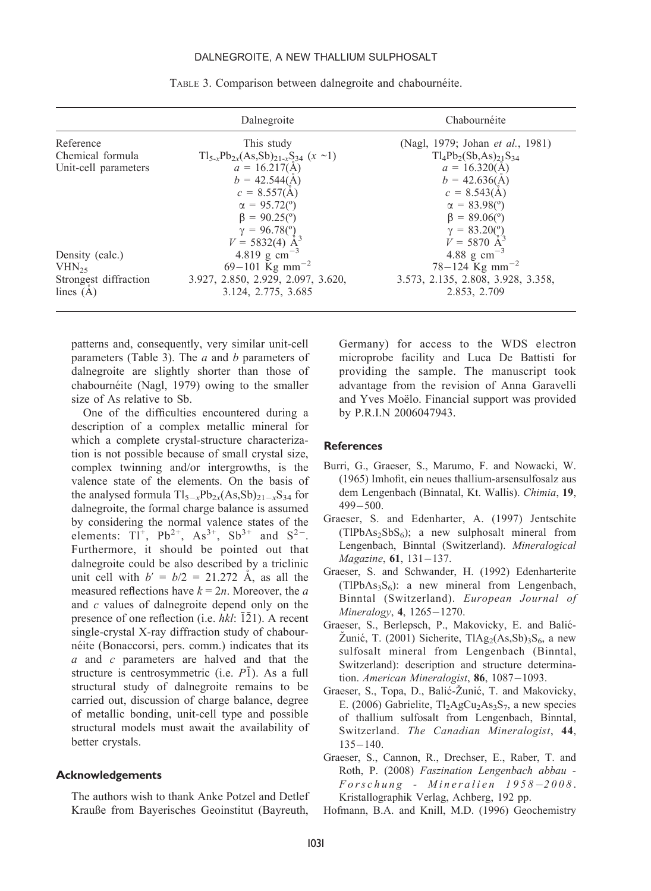#### DALNEGROITE, A NEW THALLIUM SULPHOSALT

|                       | Dalnegroite                                           | Chabournéite                       |
|-----------------------|-------------------------------------------------------|------------------------------------|
| Reference             | This study                                            | (Nagl, 1979; Johan et al., 1981)   |
| Chemical formula      | $Tl_{5-x}Pb_{2x}(As, Sb)_{21-x}S_{34}$ (x ~1)         | $Tl_4Pb_2(Sb, As)_{21}S_{34}$      |
| Unit-cell parameters  | $a = 16.217(\text{Å})$                                | $a = 16.320(\text{Å})$             |
|                       | $b = 42.544(\AA)$                                     | $b = 42.636(A)$                    |
|                       | $c = 8.557(A)$                                        | $c = 8.543(A)$                     |
|                       | $\alpha = 95.72$ <sup>(°)</sup> )                     | $\alpha = 83.98^{\circ}$           |
|                       | $\beta = 90.25$ <sup>(o</sup> )                       | $\beta = 89.06^{\circ}$            |
|                       |                                                       | $\gamma = 83.20(^{\circ})$         |
|                       | $\gamma = 96.78\binom{0}{7}$<br>$V = 5832(4)$ $\AA^3$ | $V = 5870 \text{ Å}^3$             |
| Density (calc.)       | 4.819 g $cm^{-3}$                                     | 4.88 g $cm^{-3}$                   |
| $VHN_{25}$            | 69-101 Kg mm <sup>-2</sup>                            | $78 - 124$ Kg mm <sup>-2</sup>     |
| Strongest diffraction | 3.927, 2.850, 2.929, 2.097, 3.620,                    | 3.573, 2.135, 2.808, 3.928, 3.358, |
| lines $(A)$           | 3.124, 2.775, 3.685                                   | 2.853, 2.709                       |
|                       |                                                       |                                    |

TABLE 3. Comparison between dalnegroite and chabournéite.

patterns and, consequently, very similar unit-cell parameters (Table 3). The  $a$  and  $b$  parameters of dalnegroite are slightly shorter than those of chabournéite (Nagl, 1979) owing to the smaller size of As relative to Sb.

One of the difficulties encountered during a description of a complex metallic mineral for which a complete crystal-structure characterization is not possible because of small crystal size, complex twinning and/or intergrowths, is the valence state of the elements. On the basis of the analysed formula  $Tl_{5-x}Pb_{2x}(As,Sb)_{21-x}S_{34}$  for dalnegroite, the formal charge balance is assumed by considering the normal valence states of the elements:  $TI^+$ ,  $Pb^{2+}$ ,  $As^{3+}$ ,  $Sb^{3+}$  and  $S^{2-}$ . Furthermore, it should be pointed out that dalnegroite could be also described by a triclinic unit cell with  $b' = b/2 = 21.272$  Å, as all the measured reflections have  $k = 2n$ . Moreover, the a and c values of dalnegroite depend only on the presence of one reflection (i.e.  $hkl$ :  $\overline{1}\overline{2}1$ ). A recent single-crystal X-ray diffraction study of chabournéite (Bonaccorsi, pers. comm.) indicates that its a and c parameters are halved and that the structure is centrosymmetric (i.e.  $P\bar{1}$ ). As a full structural study of dalnegroite remains to be carried out, discussion of charge balance, degree of metallic bonding, unit-cell type and possible structural models must await the availability of better crystals.

#### Acknowledgements

The authors wish to thank Anke Potzel and Detlef Krauße from Bayerisches Geoinstitut (Bayreuth,

Germany) for access to the WDS electron microprobe facility and Luca De Battisti for providing the sample. The manuscript took advantage from the revision of Anna Garavelli and Yves Moëlo. Financial support was provided by P.R.I.N 2006047943.

#### **References**

- Burri, G., Graeser, S., Marumo, F. and Nowacki, W. (1965) Imhofit, ein neues thallium-arsensulfosalzaus dem Lengenbach (Binnatal, Kt. Wallis). Chimia, 19,  $499 - 500$ .
- Graeser, S. and Edenharter, A. (1997) Jentschite  $(TIPbAs<sub>2</sub>SbS<sub>6</sub>)$ ; a new sulphosalt mineral from Lengenbach, Binntal (Switzerland). Mineralogical  $Magazine, 61, 131-137.$
- Graeser, S. and Schwander, H. (1992) Edenharterite  $(TIPbAs<sub>3</sub>S<sub>6</sub>)$ : a new mineral from Lengenbach, Binntal (Switzerland). European Journal of Mineralogy, 4, 1265-1270.
- Graeser, S., Berlepsch, P., Makovicky, E. and Balić- $\text{Žunić}, \text{T. (2001)}$  Sicherite, TlAg<sub>2</sub>(As,Sb)<sub>3</sub>S<sub>6</sub>, a new sulfosalt mineral from Lengenbach (Binntal, Switzerland): description and structure determination. American Mineralogist,  $86$ , 1087-1093.
- Graeser, S., Topa, D., Balić-Žunić, T. and Makovicky, E. (2006) Gabrielite,  $Tl_2AgCu_2As_3S_7$ , a new species of thallium sulfosalt from Lengenbach, Binntal, Switzerland. The Canadian Mineralogist, 44,  $135 - 140.$
- Graeser, S., Cannon, R., Drechser, E., Raber, T. and Roth, P. (2008) Faszination Lengenbach abbau -  $Forschung$  - Mineralien 1958-2008. Kristallographik Verlag, Achberg, 192 pp.
- Hofmann, B.A. and Knill, M.D. (1996) Geochemistry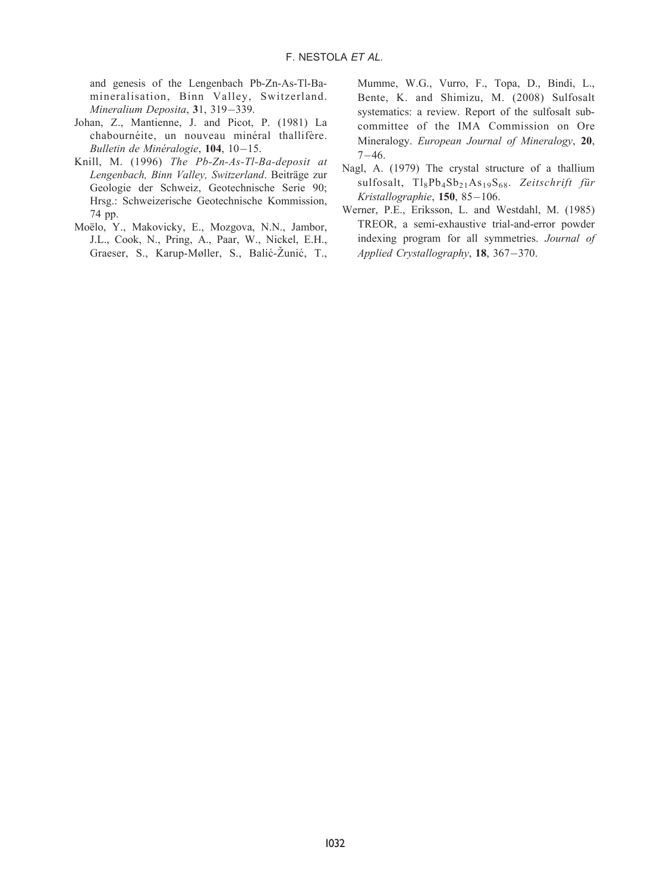and genesis of the Lengenbach Pb-Zn-As-Tl-Bamineralisation, Binn Valley, Switzerland. Mineralium Deposita, 31, 319-339.

- Johan, Z., Mantienne, J. and Picot, P. (1981) La chabournéite, un nouveau minéral thallifère. Bulletin de Minéralogie,  $104$ ,  $10-15$ .
- Knill, M. (1996) The Pb-Zn-As-Tl-Ba-deposit at Lengenbach, Binn Valley, Switzerland. Beiträge zur Geologie der Schweiz, Geotechnische Serie 90; Hrsg.: Schweizerische Geotechnische Kommission, 74 pp.
- Moëlo, Y., Makovicky, E., Mozgova, N.N., Jambor, J.L., Cook, N., Pring, A., Paar, W., Nickel, E.H., Graeser, S., Karup-Møller, S., Balić-Žunić, T.,

Mumme, W.G., Vurro, F., Topa, D., Bindi, L., Bente, K. and Shimizu, M. (2008) Sulfosalt systematics: a review. Report of the sulfosalt subcommittee of the IMA Commission on Ore Mineralogy. European Journal of Mineralogy, 20,  $7 - 46.$ 

- Nagl, A. (1979) The crystal structure of a thallium sulfosalt,  $Tl_8Pb_4Sb_{21}As_{19}S_{68}$ . Zeitschrift für Kristallographie,  $150, 85-106$ .
- Werner, P.E., Eriksson, L. and Westdahl, M. (1985) TREOR, a semi-exhaustive trial-and-error powder indexing program for all symmetries. Journal of Applied Crystallography, 18, 367-370.